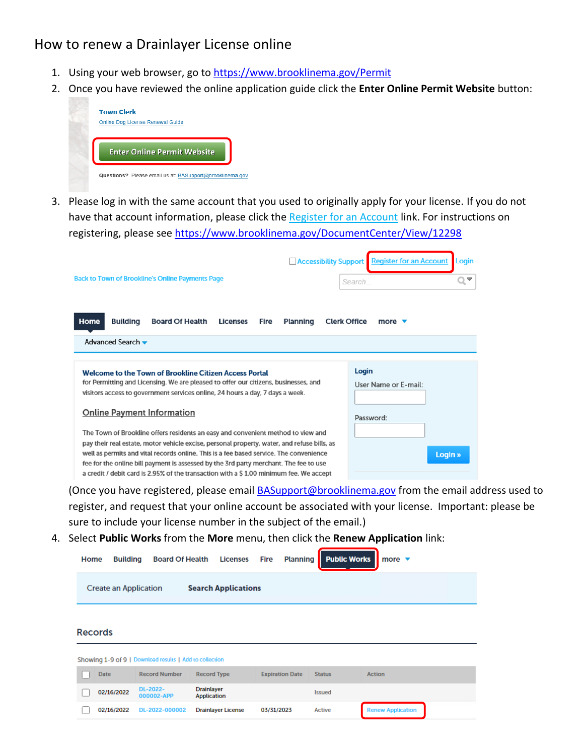## How to renew a Drainlayer License online

- 1. Using your web browser, go to <https://www.brooklinema.gov/Permit>
- 2. Once you have reviewed the online application guide click the **Enter Online Permit Website** button:



3. Please log in with the same account that you used to originally apply for your license. If you do not have that account information, please click the Register for an Account link. For instructions on registering, please see<https://www.brooklinema.gov/DocumentCenter/View/12298>

| <b>Back to Town of Brookline's Online Payments Page</b>                                                                                                                                                                                                                                                                                                                                                                                                                                                                                                                                                                                                                                                                             | <b>Register for an Account</b><br><b>Accessibility Support</b><br>Login<br>$\overline{\mathbf{v}}$<br>Search |
|-------------------------------------------------------------------------------------------------------------------------------------------------------------------------------------------------------------------------------------------------------------------------------------------------------------------------------------------------------------------------------------------------------------------------------------------------------------------------------------------------------------------------------------------------------------------------------------------------------------------------------------------------------------------------------------------------------------------------------------|--------------------------------------------------------------------------------------------------------------|
| Home<br><b>Building</b><br><b>Board Of Health</b><br><b>Licenses</b><br>Fire<br>Advanced Search v                                                                                                                                                                                                                                                                                                                                                                                                                                                                                                                                                                                                                                   | Planning<br><b>Clerk Office</b><br>more $\blacktriangledown$                                                 |
| Welcome to the Town of Brookline Citizen Access Portal<br>for Permitting and Licensing. We are pleased to offer our citizens, businesses, and<br>visitors access to government services online, 24 hours a day, 7 days a week.<br><b>Online Payment Information</b><br>The Town of Brookline offers residents an easy and convenient method to view and<br>pay their real estate, motor vehicle excise, personal property, water, and refuse bills, as<br>well as permits and vital records online. This is a fee based service. The convenience<br>fee for the online bill payment is assessed by the 3rd party merchant. The fee to use<br>a credit / debit card is 2.95% of the transaction with a \$1.00 minimum fee. We accept | Login<br>User Name or F-mail:<br>Password:<br>Login »                                                        |

(Once you have registered, please email **BASupport@brooklinema.gov** from the email address used to register, and request that your online account be associated with your license. Important: please be sure to include your license number in the subject of the email.)

4. Select **Public Works** from the **More** menu, then click the **Renew Application** link:

| Home           | <b>Building</b>              | <b>Board Of Health</b>                                  | <b>Licenses</b>                         | <b>Fire</b><br><b>Planning</b> |               | <b>Public Works</b><br>more $\blacktriangledown$ |  |
|----------------|------------------------------|---------------------------------------------------------|-----------------------------------------|--------------------------------|---------------|--------------------------------------------------|--|
|                | <b>Create an Application</b> |                                                         | <b>Search Applications</b>              |                                |               |                                                  |  |
| <b>Records</b> |                              |                                                         |                                         |                                |               |                                                  |  |
|                |                              | Showing 1-9 of 9   Download results   Add to collection |                                         |                                |               |                                                  |  |
| <b>Date</b>    |                              | <b>Record Number</b>                                    | <b>Record Type</b>                      | <b>Expiration Date</b>         | <b>Status</b> | <b>Action</b>                                    |  |
|                | 02/16/2022                   | DL-2022-<br>000002-APP                                  | <b>Drainlayer</b><br><b>Application</b> |                                | <b>Issued</b> |                                                  |  |
|                | 02/16/2022                   | DL-2022-000002                                          | <b>Drainlayer License</b>               | 03/31/2023                     | <b>Active</b> | <b>Renew Application</b>                         |  |